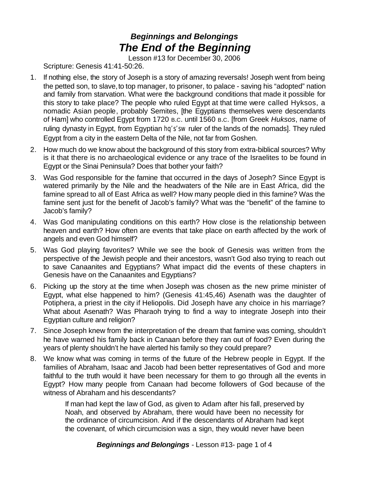## *Beginnings and Belongings The End of the Beginning*

Lesson #13 for December 30, 2006

Scripture: Genesis 41:41-50:26.

- 1. If nothing else, the story of Joseph is a story of amazing reversals! Joseph went from being the petted son, to slave, to top manager, to prisoner, to palace - saving his "adopted" nation and family from starvation. What were the background conditions that made it possible for this story to take place? The people who ruled Egypt at that time were called Hyksos, a nomadic Asian people, probably Semites, [the Egyptians themselves were descendants of Ham] who controlled Egypt from 1720 B.C. until 1560 B.C. [from Greek *Huksos*, name of ruling dynasty in Egypt, from Egyptian *hq's'sw* ruler of the lands of the nomads]. They ruled Egypt from a city in the eastern Delta of the Nile, not far from Goshen.
- 2. How much do we know about the background of this story from extra-biblical sources? Why is it that there is no archaeological evidence or any trace of the Israelites to be found in Egypt or the Sinai Peninsula? Does that bother your faith?
- 3. Was God responsible for the famine that occurred in the days of Joseph? Since Egypt is watered primarily by the Nile and the headwaters of the Nile are in East Africa, did the famine spread to all of East Africa as well? How many people died in this famine? Was the famine sent just for the benefit of Jacob's family? What was the "benefit" of the famine to Jacob's family?
- 4. Was God manipulating conditions on this earth? How close is the relationship between heaven and earth? How often are events that take place on earth affected by the work of angels and even God himself?
- 5. Was God playing favorites? While we see the book of Genesis was written from the perspective of the Jewish people and their ancestors, wasn't God also trying to reach out to save Canaanites and Egyptians? What impact did the events of these chapters in Genesis have on the Canaanites and Egyptians?
- 6. Picking up the story at the time when Joseph was chosen as the new prime minister of Egypt, what else happened to him? (Genesis 41:45,46) Asenath was the daughter of Potiphera, a priest in the city if Heliopolis. Did Joseph have any choice in his marriage? What about Asenath? Was Pharaoh trying to find a way to integrate Joseph into their Egyptian culture and religion?
- 7. Since Joseph knew from the interpretation of the dream that famine was coming, shouldn't he have warned his family back in Canaan before they ran out of food? Even during the years of plenty shouldn't he have alerted his family so they could prepare?
- 8. We know what was coming in terms of the future of the Hebrew people in Egypt. If the families of Abraham, Isaac and Jacob had been better representatives of God and more faithful to the truth would it have been necessary for them to go through all the events in Egypt? How many people from Canaan had become followers of God because of the witness of Abraham and his descendants?

If man had kept the law of God, as given to Adam after his fall, preserved by Noah, and observed by Abraham, there would have been no necessity for the ordinance of circumcision. And if the descendants of Abraham had kept the covenant, of which circumcision was a sign, they would never have been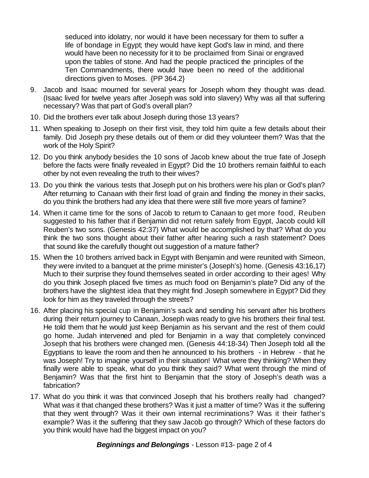seduced into idolatry, nor would it have been necessary for them to suffer a life of bondage in Egypt; they would have kept God's law in mind, and there would have been no necessity for it to be proclaimed from Sinai or engraved upon the tables of stone. And had the people practiced the principles of the Ten Commandments, there would have been no need of the additional directions given to Moses. {PP 364.2}

- 9. Jacob and Isaac mourned for several years for Joseph whom they thought was dead. (Isaac lived for twelve years after Joseph was sold into slavery) Why was all that suffering necessary? Was that part of God's overall plan?
- 10. Did the brothers ever talk about Joseph during those 13 years?
- 11. When speaking to Joseph on their first visit, they told him quite a few details about their family. Did Joseph pry these details out of them or did they volunteer them? Was that the work of the Holy Spirit?
- 12. Do you think anybody besides the 10 sons of Jacob knew about the true fate of Joseph before the facts were finally revealed in Egypt? Did the 10 brothers remain faithful to each other by not even revealing the truth to their wives?
- 13. Do you think the various tests that Joseph put on his brothers were his plan or God's plan? After returning to Canaan with their first load of grain and finding the money in their sacks, do you think the brothers had any idea that there were still five more years of famine?
- 14. When it came time for the sons of Jacob to return to Canaan to get more food, Reuben suggested to his father that if Benjamin did not return safely from Egypt, Jacob could kill Reuben's two sons. (Genesis 42:37) What would be accomplished by that? What do you think the two sons thought about their father after hearing such a rash statement? Does that sound like the carefully thought out suggestion of a mature father?
- 15. When the 10 brothers arrived back in Egypt with Benjamin and were reunited with Simeon, they were invited to a banquet at the prime minister's (Joseph's) home. (Genesis 43:16,17) Much to their surprise they found themselves seated in order according to their ages! Why do you think Joseph placed five times as much food on Benjamin's plate? Did any of the brothers have the slightest idea that they might find Joseph somewhere in Egypt? Did they look for him as they traveled through the streets?
- 16. After placing his special cup in Benjamin's sack and sending his servant after his brothers during their return journey to Canaan, Joseph was ready to give his brothers their final test. He told them that he would just keep Benjamin as his servant and the rest of them could go home. Judah intervened and pled for Benjamin in a way that completely convinced Joseph that his brothers were changed men. (Genesis 44:18-34) Then Joseph told all the Egyptians to leave the room and then he announced to his brothers - in Hebrew - that he was Joseph! Try to imagine yourself in their situation! What were they thinking? When they finally were able to speak, what do you think they said? What went through the mind of Benjamin? Was that the first hint to Benjamin that the story of Joseph's death was a fabrication?
- 17. What do you think it was that convinced Joseph that his brothers really had changed? What was it that changed these brothers? Was it just a matter of time? Was it the suffering that they went through? Was it their own internal recriminations? Was it their father's example? Was it the suffering that they saw Jacob go through? Which of these factors do you think would have had the biggest impact on you?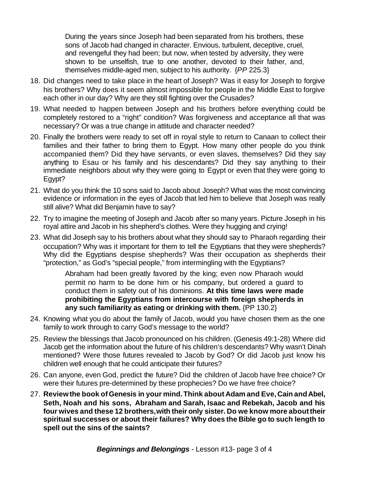During the years since Joseph had been separated from his brothers, these sons of Jacob had changed in character. Envious, turbulent, deceptive, cruel, and revengeful they had been; but now, when tested by adversity, they were shown to be unselfish, true to one another, devoted to their father, and, themselves middle-aged men, subject to his authority. {*PP* 225.3}

- 18. Did changes need to take place in the heart of Joseph? Was it easy for Joseph to forgive his brothers? Why does it seem almost impossible for people in the Middle East to forgive each other in our day? Why are they still fighting over the Crusades?
- 19. What needed to happen between Joseph and his brothers before everything could be completely restored to a "right" condition? Was forgiveness and acceptance all that was necessary? Or was a true change in attitude and character needed?
- 20. Finally the brothers were ready to set off in royal style to return to Canaan to collect their families and their father to bring them to Egypt. How many other people do you think accompanied them? Did they have servants, or even slaves, themselves? Did they say anything to Esau or his family and his descendants? Did they say anything to their immediate neighbors about why they were going to Egypt or even that they were going to Egypt?
- 21. What do you think the 10 sons said to Jacob about Joseph? What was the most convincing evidence or information in the eyes of Jacob that led him to believe that Joseph was really still alive? What did Benjamin have to say?
- 22. Try to imagine the meeting of Joseph and Jacob after so many years. Picture Joseph in his royal attire and Jacob in his shepherd's clothes. Were they hugging and crying!
- 23. What did Joseph say to his brothers about what they should say to Pharaoh regarding their occupation? Why was it important for them to tell the Egyptians that they were shepherds? Why did the Egyptians despise shepherds? Was their occupation as shepherds their "protection," as God's "special people," from intermingling with the Egyptians?

Abraham had been greatly favored by the king; even now Pharaoh would permit no harm to be done him or his company, but ordered a guard to conduct them in safety out of his dominions. **At this time laws were made prohibiting the Egyptians from intercourse with foreign shepherds in any such familiarity as eating or drinking with them.** {PP 130.2}

- 24. Knowing what you do about the family of Jacob, would you have chosen them as the one family to work through to carry God's message to the world?
- 25. Review the blessings that Jacob pronounced on his children. (Genesis 49:1-28) Where did Jacob get the information about the future of his children's descendants? Why wasn't Dinah mentioned? Were those futures revealed to Jacob by God? Or did Jacob just know his children well enough that he could anticipate their futures?
- 26. Can anyone, even God, predict the future? Did the children of Jacob have free choice? Or were their futures pre-determined by these prophecies? Do we have free choice?
- 27. **Reviewthe book ofGenesis in your mind.Think aboutAdam and Eve,Cain andAbel, Seth, Noah and his sons, Abraham and Sarah, Isaac and Rebekah, Jacob and his four wives and these 12 brothers,with their only sister. Do we know more abouttheir spiritual successes or about their failures? Why does the Bible go to such length to spell out the sins of the saints?**